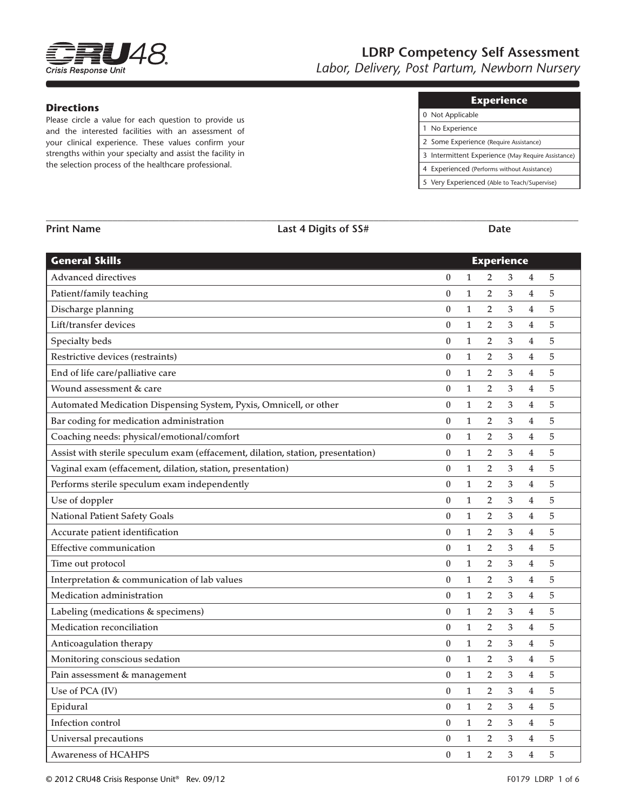

# **LDRP Competency Self Assessment**

*Labor, Delivery, Post Partum, Newborn Nursery*

#### **Directions**

Please circle a value for each question to provide us and the interested facilities with an assessment of your clinical experience. These values confirm your strengths within your specialty and assist the facility in the selection process of the healthcare professional.

| Experience. |  |
|-------------|--|
|             |  |
|             |  |

| 0 Not Applicable                                   |
|----------------------------------------------------|
| 1 No Experience                                    |
| 2 Some Experience (Require Assistance)             |
| 3 Intermittent Experience (May Require Assistance) |
| 4 Experienced (Performs without Assistance)        |
| 5 Very Experienced (Able to Teach/Supervise)       |

| <b>Print Name</b>                                                               | Last 4 Digits of SS# |                  | Date         |                   |   |                |   |  |
|---------------------------------------------------------------------------------|----------------------|------------------|--------------|-------------------|---|----------------|---|--|
| <b>General Skills</b>                                                           |                      |                  |              | <b>Experience</b> |   |                |   |  |
| <b>Advanced directives</b>                                                      |                      | $\boldsymbol{0}$ | $\mathbf{1}$ | 2                 | 3 | 4              | 5 |  |
| Patient/family teaching                                                         |                      | $\boldsymbol{0}$ | $\mathbf{1}$ | $\overline{2}$    | 3 | $\overline{4}$ | 5 |  |
| Discharge planning                                                              |                      | $\boldsymbol{0}$ | $\mathbf{1}$ | $\overline{2}$    | 3 | $\overline{4}$ | 5 |  |
| Lift/transfer devices                                                           |                      | $\boldsymbol{0}$ | $\mathbf{1}$ | $\overline{2}$    | 3 | $\overline{4}$ | 5 |  |
| Specialty beds                                                                  |                      | $\boldsymbol{0}$ | $\mathbf{1}$ | $\overline{2}$    | 3 | 4              | 5 |  |
| Restrictive devices (restraints)                                                |                      | $\boldsymbol{0}$ | $\mathbf{1}$ | $\overline{2}$    | 3 | 4              | 5 |  |
| End of life care/palliative care                                                |                      | $\boldsymbol{0}$ | $\mathbf{1}$ | $\overline{2}$    | 3 | $\overline{4}$ | 5 |  |
| Wound assessment & care                                                         |                      | $\boldsymbol{0}$ | $\mathbf{1}$ | $\overline{2}$    | 3 | $\overline{4}$ | 5 |  |
| Automated Medication Dispensing System, Pyxis, Omnicell, or other               |                      | $\boldsymbol{0}$ | $\mathbf{1}$ | 2                 | 3 | 4              | 5 |  |
| Bar coding for medication administration                                        |                      | $\boldsymbol{0}$ | $\mathbf{1}$ | 2                 | 3 | 4              | 5 |  |
| Coaching needs: physical/emotional/comfort                                      |                      | $\boldsymbol{0}$ | $\mathbf{1}$ | $\overline{2}$    | 3 | $\overline{4}$ | 5 |  |
| Assist with sterile speculum exam (effacement, dilation, station, presentation) |                      | $\boldsymbol{0}$ | $\mathbf{1}$ | $\overline{2}$    | 3 | $\overline{4}$ | 5 |  |
| Vaginal exam (effacement, dilation, station, presentation)                      |                      | $\boldsymbol{0}$ | $\mathbf{1}$ | $\overline{2}$    | 3 | 4              | 5 |  |
| Performs sterile speculum exam independently                                    |                      | $\boldsymbol{0}$ | $\mathbf{1}$ | 2                 | 3 | 4              | 5 |  |
| Use of doppler                                                                  |                      | $\pmb{0}$        | $\mathbf{1}$ | 2                 | 3 | $\overline{4}$ | 5 |  |
| National Patient Safety Goals                                                   |                      | $\boldsymbol{0}$ | $\mathbf{1}$ | $\overline{2}$    | 3 | $\overline{4}$ | 5 |  |
| Accurate patient identification                                                 |                      | $\boldsymbol{0}$ | $\mathbf{1}$ | $\overline{2}$    | 3 | $\overline{4}$ | 5 |  |
| <b>Effective communication</b>                                                  |                      | $\boldsymbol{0}$ | $\mathbf{1}$ | $\overline{2}$    | 3 | 4              | 5 |  |
| Time out protocol                                                               |                      | $\boldsymbol{0}$ | $\mathbf{1}$ | 2                 | 3 | 4              | 5 |  |
| Interpretation & communication of lab values                                    |                      | $\boldsymbol{0}$ | $\mathbf{1}$ | $\overline{2}$    | 3 | $\overline{4}$ | 5 |  |
| Medication administration                                                       |                      | $\boldsymbol{0}$ | $\mathbf{1}$ | $\overline{2}$    | 3 | $\overline{4}$ | 5 |  |
| Labeling (medications & specimens)                                              |                      | $\boldsymbol{0}$ | $\mathbf{1}$ | $\overline{2}$    | 3 | 4              | 5 |  |
| Medication reconciliation                                                       |                      | $\boldsymbol{0}$ | $\mathbf{1}$ | $\overline{2}$    | 3 | 4              | 5 |  |
| Anticoagulation therapy                                                         |                      | $\boldsymbol{0}$ | $\mathbf{1}$ | $\overline{2}$    | 3 | 4              | 5 |  |
| Monitoring conscious sedation                                                   |                      | $\boldsymbol{0}$ | $\mathbf{1}$ | $\overline{2}$    | 3 | $\overline{4}$ | 5 |  |
| Pain assessment & management                                                    |                      | $\boldsymbol{0}$ | $\mathbf{1}$ | $\overline{2}$    | 3 | $\overline{4}$ | 5 |  |
| Use of PCA (IV)                                                                 |                      | $\boldsymbol{0}$ | $\mathbf{1}$ | $\overline{2}$    | 3 | 4              | 5 |  |
| Epidural                                                                        |                      | $\boldsymbol{0}$ | $\mathbf{1}$ | $\overline{2}$    | 3 | 4              | 5 |  |
| Infection control                                                               |                      | $\boldsymbol{0}$ | $\mathbf{1}$ | $\overline{2}$    | 3 | $\overline{4}$ | 5 |  |
| Universal precautions                                                           |                      | $\boldsymbol{0}$ | $\mathbf{1}$ | $\overline{2}$    | 3 | $\overline{4}$ | 5 |  |
| <b>Awareness of HCAHPS</b>                                                      |                      | $\boldsymbol{0}$ | $\mathbf{1}$ | $\overline{2}$    | 3 | 4              | 5 |  |

**\_\_\_\_\_\_\_\_\_\_\_\_\_\_\_\_\_\_\_\_\_\_\_\_\_\_\_\_\_\_\_\_\_\_\_\_\_\_\_\_\_\_\_\_\_\_\_\_\_\_\_\_\_\_\_\_\_\_\_\_\_\_\_\_\_\_\_\_\_\_\_\_\_\_\_\_\_\_\_\_\_\_\_\_\_\_\_\_\_\_\_\_\_\_\_\_\_\_\_\_\_\_\_\_**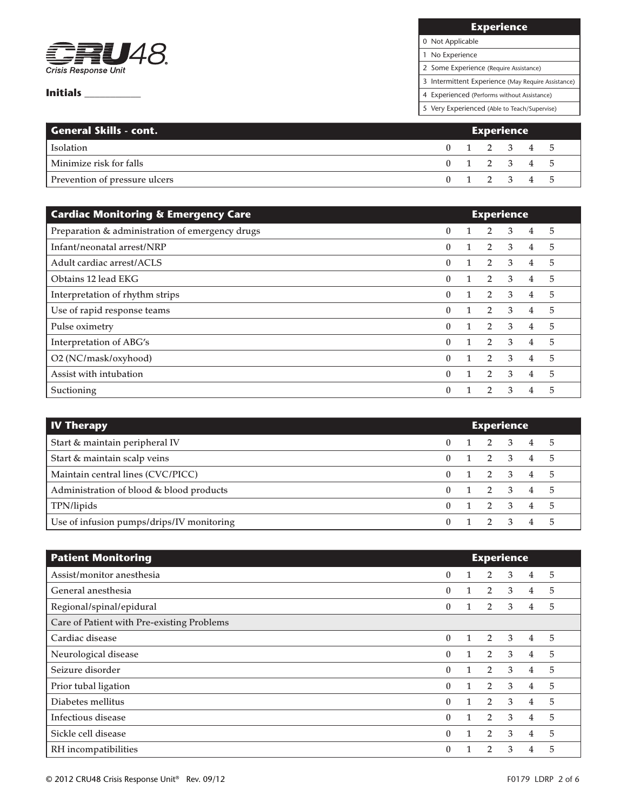

# **Experience**

0 Not Applicable

1 No Experience

2 Some Experience (Require Assistance)

3 Intermittent Experience (May Require Assistance)

4 Experienced (Performs without Assistance)

5 Very Experienced (Able to Teach/Supervise)

| <b>General Skills - cont.</b> | Experience |  |             |  |  |  |  |  |  |
|-------------------------------|------------|--|-------------|--|--|--|--|--|--|
| <b>Isolation</b>              |            |  | 0 1 2 3 4 5 |  |  |  |  |  |  |
| Minimize risk for falls       |            |  | 0 1 2 3 4 5 |  |  |  |  |  |  |
| Prevention of pressure ulcers |            |  | 0 1 2 3 4 5 |  |  |  |  |  |  |

| <b>Cardiac Monitoring &amp; Emergency Care</b>  | <b>Experience</b> |  |                |               |   |   |  |
|-------------------------------------------------|-------------------|--|----------------|---------------|---|---|--|
| Preparation & administration of emergency drugs | $\mathbf{0}$      |  | 2              | 3             | 4 | 5 |  |
| Infant/neonatal arrest/NRP                      | $\mathbf{0}$      |  | $\overline{2}$ | 3             | 4 | 5 |  |
| Adult cardiac arrest/ACLS                       | $\theta$          |  | $\overline{2}$ | 3             | 4 | 5 |  |
| Obtains 12 lead EKG                             | $\theta$          |  | $\overline{2}$ | 3             | 4 | 5 |  |
| Interpretation of rhythm strips                 | $\theta$          |  | 2              | 3             | 4 | 5 |  |
| Use of rapid response teams                     | $\theta$          |  | $\overline{2}$ | 3             | 4 | 5 |  |
| Pulse oximetry                                  | $\mathbf{0}$      |  | $\overline{2}$ | 3             | 4 | 5 |  |
| Interpretation of ABG's                         | $\Omega$          |  | $\mathcal{P}$  | $\mathcal{E}$ | 4 | 5 |  |
| O2 (NC/mask/oxyhood)                            | $\mathbf{0}$      |  | $\overline{2}$ | 3             | 4 | 5 |  |
| Assist with intubation                          | $\Omega$          |  | 2              | 3             | 4 | 5 |  |
| Suctioning                                      | $\theta$          |  | 2              | 3             | 4 | 5 |  |

| <b>IV Therapy</b>                         | <b>Experience</b> |  |                     |  |                |  |  |  |  |  |
|-------------------------------------------|-------------------|--|---------------------|--|----------------|--|--|--|--|--|
| Start & maintain peripheral IV            |                   |  | 1 2 3 4 5           |  |                |  |  |  |  |  |
| Start & maintain scalp veins              |                   |  | 1 2 3 4 5           |  |                |  |  |  |  |  |
| Maintain central lines (CVC/PICC)         |                   |  | 1 2 3 4 5           |  |                |  |  |  |  |  |
| Administration of blood & blood products  | $\Omega$          |  | 1 2 3 4 5           |  |                |  |  |  |  |  |
| TPN/lipids                                |                   |  | 1 2 3               |  | 4 5            |  |  |  |  |  |
| Use of infusion pumps/drips/IV monitoring |                   |  | $1 \quad 2 \quad 3$ |  | $\overline{4}$ |  |  |  |  |  |

| <b>Patient Monitoring</b>                  | <b>Experience</b> |              |                |                |                |   |  |  |
|--------------------------------------------|-------------------|--------------|----------------|----------------|----------------|---|--|--|
| Assist/monitor anesthesia                  | $\bf{0}$          |              | $\overline{2}$ | 3              | 4              | 5 |  |  |
| General anesthesia                         | $\theta$          | $\mathbf{1}$ | $\overline{2}$ | 3              | $\overline{4}$ | 5 |  |  |
| Regional/spinal/epidural                   | $\bf{0}$          |              | $\overline{2}$ | 3              | $\overline{4}$ | 5 |  |  |
| Care of Patient with Pre-existing Problems |                   |              |                |                |                |   |  |  |
| Cardiac disease                            | $\mathbf{0}$      | $\mathbf{1}$ | 2              | $\overline{3}$ | $\overline{4}$ | 5 |  |  |
| Neurological disease                       | $\mathbf{0}$      | $\mathbf{1}$ | $\overline{2}$ | 3              | $\overline{4}$ | 5 |  |  |
| Seizure disorder                           | $\theta$          | $\mathbf{1}$ | $\overline{2}$ | 3              | $\overline{4}$ | 5 |  |  |
| Prior tubal ligation                       | $\mathbf{0}$      | $\mathbf{1}$ | $\overline{2}$ | 3              | $\overline{4}$ | 5 |  |  |
| Diabetes mellitus                          | $\theta$          | $\mathbf{1}$ | $\overline{2}$ | 3              | 4              | 5 |  |  |
| Infectious disease                         | $\theta$          | 1            | 2              | 3              | 4              | 5 |  |  |
| Sickle cell disease                        | $\theta$          | $\mathbf{1}$ | $\overline{2}$ | 3              | $\overline{4}$ | 5 |  |  |
| RH incompatibilities                       | $\theta$          |              | $\overline{2}$ | 3              | 4              | 5 |  |  |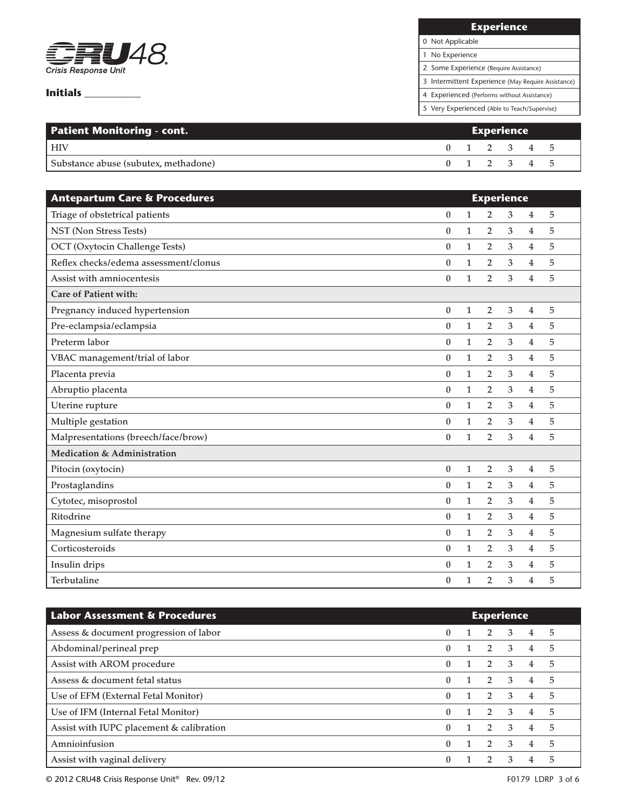

# **Experience**

0 Not Applicable

1 No Experience

2 Some Experience (Require Assistance)

3 Intermittent Experience (May Require Assistance)

4 Experienced (Performs without Assistance)

5 Very Experienced (Able to Teach/Supervise)

| <b>Patient Monitoring - cont.</b>    | <b>Experience</b> |  |             |  |  |  |  |  |
|--------------------------------------|-------------------|--|-------------|--|--|--|--|--|
| <b>HIV</b>                           |                   |  | 0 1 2 3 4 5 |  |  |  |  |  |
| Substance abuse (subutex, methadone) |                   |  | 0 1 2 3 4 5 |  |  |  |  |  |

| <b>Antepartum Care &amp; Procedures</b> | <b>Experience</b> |              |                |   |                |   |  |  |  |  |
|-----------------------------------------|-------------------|--------------|----------------|---|----------------|---|--|--|--|--|
| Triage of obstetrical patients          | $\mathbf{0}$      | $\mathbf{1}$ | $\overline{2}$ | 3 | $\overline{4}$ | 5 |  |  |  |  |
| NST (Non Stress Tests)                  | $\boldsymbol{0}$  | $\mathbf{1}$ | 2              | 3 | $\overline{4}$ | 5 |  |  |  |  |
| OCT (Oxytocin Challenge Tests)          | $\theta$          | $\mathbf{1}$ | 2              | 3 | $\overline{4}$ | 5 |  |  |  |  |
| Reflex checks/edema assessment/clonus   | $\boldsymbol{0}$  | $\mathbf{1}$ | 2              | 3 | 4              | 5 |  |  |  |  |
| Assist with amniocentesis               | $\theta$          | $\mathbf{1}$ | $\overline{2}$ | 3 | $\overline{4}$ | 5 |  |  |  |  |
| Care of Patient with:                   |                   |              |                |   |                |   |  |  |  |  |
| Pregnancy induced hypertension          | $\boldsymbol{0}$  | $\mathbf{1}$ | $\overline{2}$ | 3 | $\overline{4}$ | 5 |  |  |  |  |
| Pre-eclampsia/eclampsia                 | $\theta$          | $\mathbf{1}$ | $\overline{2}$ | 3 | $\overline{4}$ | 5 |  |  |  |  |
| Preterm labor                           | $\bf{0}$          | $\mathbf{1}$ | $\overline{2}$ | 3 | $\overline{4}$ | 5 |  |  |  |  |
| VBAC management/trial of labor          | $\theta$          | $\mathbf{1}$ | $\overline{2}$ | 3 | $\overline{4}$ | 5 |  |  |  |  |
| Placenta previa                         | $\boldsymbol{0}$  | $\mathbf{1}$ | $\overline{2}$ | 3 | $\overline{4}$ | 5 |  |  |  |  |
| Abruptio placenta                       | $\theta$          | $\mathbf{1}$ | 2              | 3 | 4              | 5 |  |  |  |  |
| Uterine rupture                         | $\theta$          | $\mathbf{1}$ | $\overline{2}$ | 3 | $\overline{4}$ | 5 |  |  |  |  |
| Multiple gestation                      | $\boldsymbol{0}$  | $\mathbf{1}$ | 2              | 3 | 4              | 5 |  |  |  |  |
| Malpresentations (breech/face/brow)     | $\theta$          | $\mathbf{1}$ | $\overline{2}$ | 3 | $\overline{4}$ | 5 |  |  |  |  |
| Medication & Administration             |                   |              |                |   |                |   |  |  |  |  |
| Pitocin (oxytocin)                      | $\boldsymbol{0}$  | $\mathbf{1}$ | $\overline{2}$ | 3 | $\overline{4}$ | 5 |  |  |  |  |
| Prostaglandins                          | $\theta$          | $\mathbf{1}$ | $\overline{2}$ | 3 | 4              | 5 |  |  |  |  |
| Cytotec, misoprostol                    | $\bf{0}$          | $\mathbf{1}$ | $\overline{2}$ | 3 | $\overline{4}$ | 5 |  |  |  |  |
| Ritodrine                               | $\boldsymbol{0}$  | $\mathbf{1}$ | $\overline{2}$ | 3 | $\overline{4}$ | 5 |  |  |  |  |
| Magnesium sulfate therapy               | $\boldsymbol{0}$  | $\mathbf{1}$ | $\overline{2}$ | 3 | $\overline{4}$ | 5 |  |  |  |  |
| Corticosteroids                         | $\boldsymbol{0}$  | $\mathbf{1}$ | $\overline{2}$ | 3 | $\overline{4}$ | 5 |  |  |  |  |
| Insulin drips                           | $\theta$          | $\mathbf{1}$ | $\overline{2}$ | 3 | $\overline{4}$ | 5 |  |  |  |  |
| Terbutaline                             | $\boldsymbol{0}$  | 1            | $\overline{2}$ | 3 | 4              | 5 |  |  |  |  |

| <b>Labor Assessment &amp; Procedures</b> | <b>Experience</b> |  |                |                         |                |   |  |
|------------------------------------------|-------------------|--|----------------|-------------------------|----------------|---|--|
| Assess & document progression of labor   | $\mathbf{0}$      |  | $\overline{2}$ | $\overline{3}$          | 4              | 5 |  |
| Abdominal/perineal prep                  | $\mathbf{0}$      |  | $2^{\circ}$    | $\overline{\mathbf{3}}$ | 4              | 5 |  |
| Assist with AROM procedure               | $\mathbf{0}$      |  | $\mathbf{2}$   | $\mathbf{3}$            | 4              | 5 |  |
| Assess & document fetal status           | $\mathbf{0}$      |  | $\overline{2}$ | $\mathbf{3}$            | 4              | 5 |  |
| Use of EFM (External Fetal Monitor)      | $\mathbf{0}$      |  | $2 \quad 3$    |                         | $\overline{4}$ | 5 |  |
| Use of IFM (Internal Fetal Monitor)      | $\Omega$          |  | $\overline{2}$ | $\mathbf{3}$            | $\overline{4}$ | 5 |  |
| Assist with IUPC placement & calibration | 0                 |  | $\overline{2}$ | $\mathbf{3}$            | 4              | 5 |  |
| Amnioinfusion                            | $\theta$          |  | $\overline{2}$ | $\mathbf{3}$            | 4              | 5 |  |
| Assist with vaginal delivery             | $\theta$          |  |                | 3                       |                | 5 |  |

© 2012 CRU48 Crisis Response Unit® Rev. 09/12 F0179 LDRP 3 of 6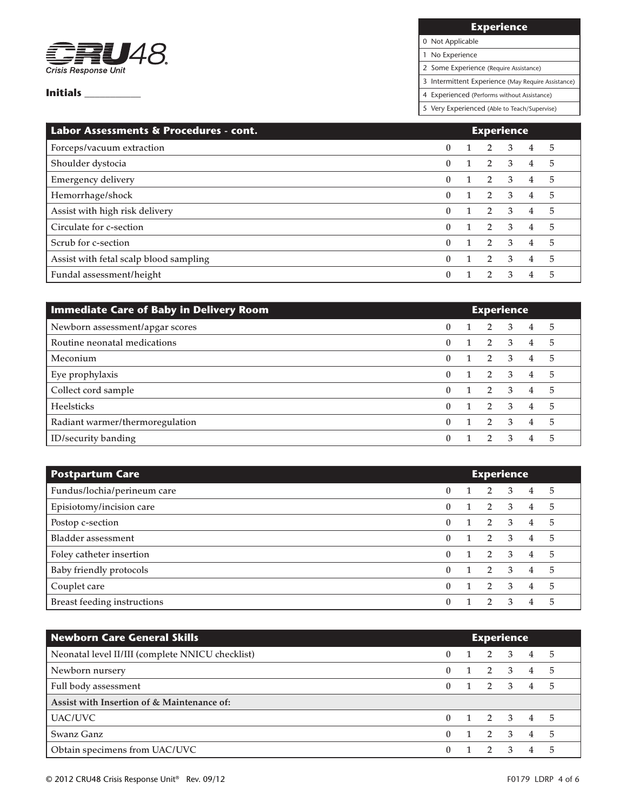

# **Experience**

0 Not Applicable

1 No Experience

2 Some Experience (Require Assistance)

3 Intermittent Experience (May Require Assistance)

4 Experienced (Performs without Assistance)

5 Very Experienced (Able to Teach/Supervise)

| Labor Assessments & Procedures - cont. | <b>Experience</b> |  |                |                |                |    |
|----------------------------------------|-------------------|--|----------------|----------------|----------------|----|
| Forceps/vacuum extraction              | $\theta$          |  | 2              | 3              | 4              | 5  |
| Shoulder dystocia                      | $\theta$          |  | 2              | $\overline{3}$ | 4              | 5  |
| <b>Emergency delivery</b>              | $\mathbf{0}$      |  | $\overline{2}$ | $\mathbf{3}$   | 4              | 5  |
| Hemorrhage/shock                       | $\mathbf{0}$      |  | $2 \quad 3$    |                | 4              | 5  |
| Assist with high risk delivery         | $\theta$          |  | $2 \quad 3$    |                | $\overline{4}$ | -5 |
| Circulate for c-section                | $\theta$          |  | 2              | $\mathbf{3}$   | $\overline{4}$ | 5  |
| Scrub for c-section                    | $\theta$          |  | $\overline{2}$ | $\mathcal{E}$  | $\overline{4}$ | 5  |
| Assist with fetal scalp blood sampling | $\theta$          |  | $\overline{2}$ | 3              | 4              | 5  |
| Fundal assessment/height               | $\theta$          |  |                | 3              | 4              | 5  |

| <b>Immediate Care of Baby in Delivery Room</b> | <b>Experience</b> |  |                |                         |                |    |  |
|------------------------------------------------|-------------------|--|----------------|-------------------------|----------------|----|--|
| Newborn assessment/apgar scores                | $\mathbf{0}$      |  | $\overline{2}$ | 3                       | 4              | -5 |  |
| Routine neonatal medications                   | $\mathbf{0}$      |  | $2^{\circ}$    | $\overline{\mathbf{3}}$ | $\overline{4}$ | 5  |  |
| Meconium                                       | $\mathbf{0}$      |  | $2 \quad 3$    |                         | $\overline{4}$ | 5  |  |
| Eye prophylaxis                                | 0                 |  | 2 3            |                         | $\overline{4}$ | 5  |  |
| Collect cord sample                            | 0                 |  | 2 3            |                         | 4              | 5  |  |
| Heelsticks                                     | 0                 |  | 2              | $\overline{\mathbf{3}}$ | $\overline{4}$ | 5  |  |
| Radiant warmer/thermoregulation                | 0                 |  | $\overline{2}$ | $\mathbf{3}$            | 4              | 5  |  |
| ID/security banding                            | <sup>0</sup>      |  |                | $\mathbf{R}$            | 4              | 5  |  |

| <b>Postpartum Care</b>             | <b>Experience</b> |  |                |                         |                |    |
|------------------------------------|-------------------|--|----------------|-------------------------|----------------|----|
| Fundus/lochia/perineum care        | 0                 |  | 2              | 3                       | 4              | 5  |
| Episiotomy/incision care           | 0                 |  | $2 \quad 3$    |                         | $\overline{4}$ | 5  |
| Postop c-section                   | 0                 |  | $2 \quad 3$    |                         | 4              | 5  |
| <b>Bladder assessment</b>          | 0                 |  | 2              | $\overline{\mathbf{3}}$ | 4              | 5  |
| Foley catheter insertion           | 0                 |  | 2              | $\overline{3}$          | 4              | 5  |
| Baby friendly protocols            | 0                 |  | $\overline{2}$ | $\mathbf{3}$            | 4              | .5 |
| Couplet care                       | 0                 |  | $\overline{2}$ | -3                      | 4              | 5  |
| <b>Breast feeding instructions</b> |                   |  |                | 3                       | 4              | 5  |

| <b>Newborn Care General Skills</b>               | <b>Experience</b> |              |                     |  |            |      |
|--------------------------------------------------|-------------------|--------------|---------------------|--|------------|------|
| Neonatal level II/III (complete NNICU checklist) | 0                 | $\mathbf{1}$ | 2 3 4 5             |  |            |      |
| Newborn nursery                                  | 0                 |              | $1 \quad 2 \quad 3$ |  | $4\quad 5$ |      |
| Full body assessment                             | 0                 |              | $1 \t2 \t3 \t4 \t5$ |  |            |      |
| Assist with Insertion of & Maintenance of:       |                   |              |                     |  |            |      |
| <b>UAC/UVC</b>                                   | 0                 |              | $1 \t2 \t3 \t4 \t5$ |  |            |      |
| Swanz Ganz                                       | 0                 |              | 2 3                 |  | $4\quad 5$ |      |
| Obtain specimens from UAC/UVC                    | 0                 |              | $1 \quad 2 \quad 3$ |  | 4          | $-5$ |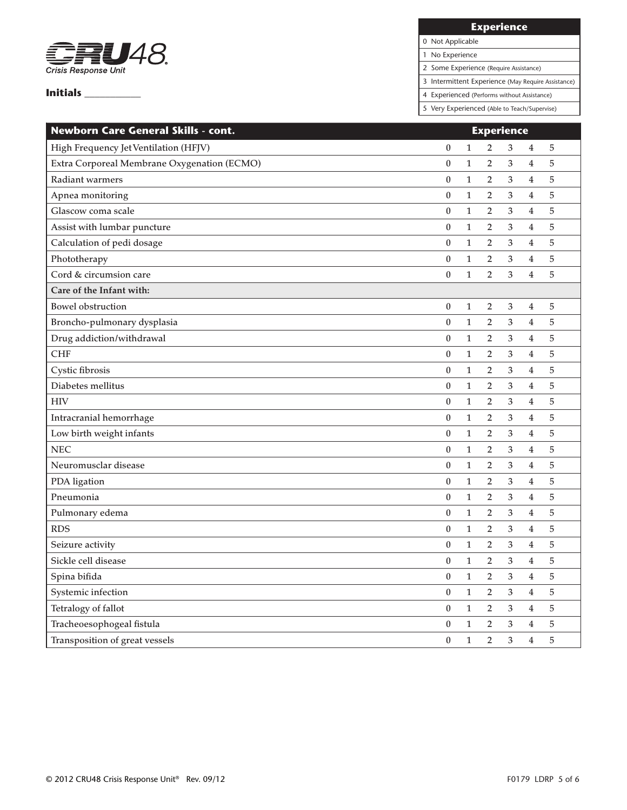

**Experience**

0 Not Applicable 1 No Experience

2 Some Experience (Require Assistance)

3 Intermittent Experience (May Require Assistance)

4 Experienced (Performs without Assistance)

5 Very Experienced (Able to Teach/Supervise)

| Newborn Care General Skills - cont.         | <b>Experience</b> |              |                |                           |                         |                |
|---------------------------------------------|-------------------|--------------|----------------|---------------------------|-------------------------|----------------|
| High Frequency Jet Ventilation (HFJV)       | $\boldsymbol{0}$  | 1            | $\overline{2}$ | $\ensuremath{\mathsf{3}}$ | $\overline{\mathbf{4}}$ | 5              |
| Extra Corporeal Membrane Oxygenation (ECMO) | $\boldsymbol{0}$  | $\mathbf{1}$ | $\overline{2}$ | 3                         | $\overline{4}$          | 5              |
| Radiant warmers                             | $\boldsymbol{0}$  | $\mathbf{1}$ | 2              | 3                         | $\overline{4}$          | 5              |
| Apnea monitoring                            | $\boldsymbol{0}$  | $\mathbf{1}$ | $\overline{2}$ | 3                         | $\overline{4}$          | 5              |
| Glascow coma scale                          | $\boldsymbol{0}$  | $\mathbf{1}$ | 2              | 3                         | $\overline{\mathbf{4}}$ | $\mathbf 5$    |
| Assist with lumbar puncture                 | $\boldsymbol{0}$  | $\mathbf{1}$ | $\overline{2}$ | 3                         | $\overline{\mathbf{4}}$ | 5              |
| Calculation of pedi dosage                  | $\boldsymbol{0}$  | $\mathbf{1}$ | $\overline{2}$ | 3                         | $\overline{4}$          | 5              |
| Phototherapy                                | $\boldsymbol{0}$  | $\mathbf{1}$ | $\overline{2}$ | 3                         | 4                       | 5              |
| Cord & circumsion care                      | $\boldsymbol{0}$  | $\mathbf{1}$ | $\overline{2}$ | 3                         | $\overline{4}$          | 5              |
| Care of the Infant with:                    |                   |              |                |                           |                         |                |
| <b>Bowel obstruction</b>                    | $\boldsymbol{0}$  | $\mathbf{1}$ | $\overline{2}$ | $\ensuremath{\mathsf{3}}$ | $\overline{4}$          | 5              |
| Broncho-pulmonary dysplasia                 | $\boldsymbol{0}$  | $\mathbf{1}$ | 2              | $\mathfrak{Z}$            | $\overline{\mathbf{4}}$ | 5              |
| Drug addiction/withdrawal                   | $\boldsymbol{0}$  | $\mathbf{1}$ | $\overline{2}$ | 3                         | $\overline{\mathbf{4}}$ | 5              |
| <b>CHF</b>                                  | $\boldsymbol{0}$  | $\mathbf{1}$ | $\overline{2}$ | 3                         | $\overline{4}$          | 5              |
| Cystic fibrosis                             | $\boldsymbol{0}$  | $\mathbf{1}$ | $\overline{2}$ | 3                         | $\overline{4}$          | 5              |
| Diabetes mellitus                           | $\boldsymbol{0}$  | $\mathbf{1}$ | $\overline{2}$ | 3                         | 4                       | 5              |
| <b>HIV</b>                                  | $\boldsymbol{0}$  | $\mathbf{1}$ | 2              | 3                         | $\overline{\mathbf{4}}$ | $\overline{5}$ |
| Intracranial hemorrhage                     | $\boldsymbol{0}$  | $\mathbf{1}$ | $\overline{2}$ | 3                         | $\overline{\mathbf{4}}$ | $\overline{5}$ |
| Low birth weight infants                    | $\boldsymbol{0}$  | $\mathbf{1}$ | 2              | 3                         | 4                       | 5              |
| <b>NEC</b>                                  | $\boldsymbol{0}$  | $\mathbf{1}$ | $\overline{2}$ | 3                         | $\overline{4}$          | 5              |
| Neuromusclar disease                        | $\mathbf{0}$      | $\mathbf{1}$ | $\overline{2}$ | $\mathfrak{Z}$            | $\overline{4}$          | 5              |
| PDA ligation                                | $\boldsymbol{0}$  | $\mathbf{1}$ | $\overline{2}$ | 3                         | $\overline{4}$          | 5              |
| Pneumonia                                   | $\boldsymbol{0}$  | $\mathbf{1}$ | $\overline{2}$ | 3                         | $\overline{4}$          | 5              |
| Pulmonary edema                             | $\boldsymbol{0}$  | $\mathbf{1}$ | $\overline{2}$ | 3                         | $\overline{4}$          | 5              |
| <b>RDS</b>                                  | $\boldsymbol{0}$  | $\mathbf{1}$ | $\overline{2}$ | 3                         | $\overline{\mathbf{4}}$ | 5              |
| Seizure activity                            | $\boldsymbol{0}$  | $\mathbf{1}$ | $\overline{2}$ | 3                         | $\overline{4}$          | 5              |
| Sickle cell disease                         | $\boldsymbol{0}$  | $\mathbf{1}$ | 2              | $\mathfrak{Z}$            | $\overline{\mathbf{4}}$ | $\mathbf 5$    |
| Spina bifida                                | $\boldsymbol{0}$  | $\mathbf{1}$ | $\overline{2}$ | $\mathfrak{Z}$            | $\overline{\mathbf{4}}$ | 5              |
| Systemic infection                          | $\mathbf{0}$      | $\mathbf{1}$ | $\overline{2}$ | $\ensuremath{\mathsf{3}}$ | $\overline{\mathbf{4}}$ | 5              |
| Tetralogy of fallot                         | $\boldsymbol{0}$  | $\mathbf{1}$ | $\overline{2}$ | $\mathfrak{Z}$            | $\overline{4}$          | 5              |
| Tracheoesophogeal fistula                   | $\boldsymbol{0}$  | $\mathbf{1}$ | $\overline{2}$ | $\mathfrak{Z}$            | 4                       | 5              |
| Transposition of great vessels              | $\boldsymbol{0}$  | $\mathbf{1}$ | $\overline{2}$ | 3                         | $\bf 4$                 | 5              |